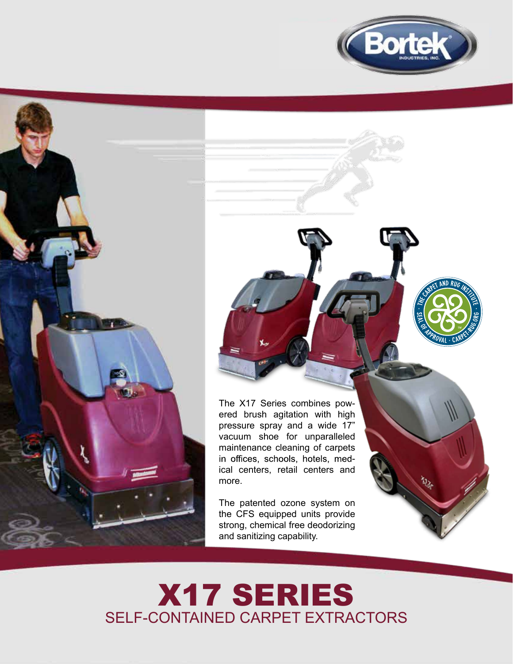



The X17 Series combines powered brush agitation with high pressure spray and a wide 17" vacuum shoe for unparalleled maintenance cleaning of carpets in offices, schools, hotels, medical centers, retail centers and more.

The patented ozone system on the CFS equipped units provide strong, chemical free deodorizing and sanitizing capability.



## X17 SERIES SELF-CONTAINED CARPET EXTRACTORS